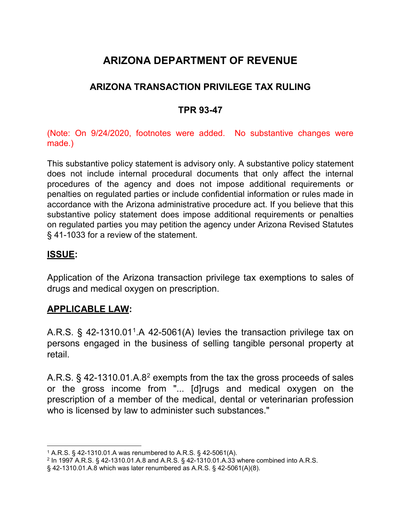# **ARIZONA DEPARTMENT OF REVENUE**

## **ARIZONA TRANSACTION PRIVILEGE TAX RULING**

### **TPR 93-47**

(Note: On 9/24/2020, footnotes were added. No substantive changes were made.)

This substantive policy statement is advisory only. A substantive policy statement does not include internal procedural documents that only affect the internal procedures of the agency and does not impose additional requirements or penalties on regulated parties or include confidential information or rules made in accordance with the Arizona administrative procedure act. If you believe that this substantive policy statement does impose additional requirements or penalties on regulated parties you may petition the agency under Arizona Revised Statutes § 41-1033 for a review of the statement.

### **ISSUE:**

Application of the Arizona transaction privilege tax exemptions to sales of drugs and medical oxygen on prescription.

## **APPLICABLE LAW:**

A.R.S.  $\S$  42-[1](#page-0-0)310.01<sup>1</sup>.A 42-5061(A) levies the transaction privilege tax on persons engaged in the business of selling tangible personal property at retail.

A.R.S.  $\S$  4[2](#page-0-1)-1310.01.A.8<sup>2</sup> exempts from the tax the gross proceeds of sales or the gross income from "... [d]rugs and medical oxygen on the prescription of a member of the medical, dental or veterinarian profession who is licensed by law to administer such substances."

<span id="page-0-0"></span> <sup>1</sup> A.R.S. § 42-1310.01.A was renumbered to A.R.S. § 42-5061(A).

<span id="page-0-1"></span><sup>2</sup> In 1997 A.R.S. § 42-1310.01.A.8 and A.R.S. § 42-1310.01.A.33 where combined into A.R.S.

<sup>§</sup> 42-1310.01.A.8 which was later renumbered as A.R.S. § 42-5061(A)(8).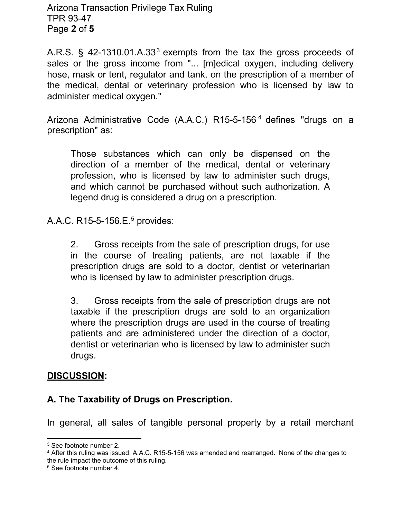Arizona Transaction Privilege Tax Ruling TPR 93-47 Page **2** of **5**

A.R.S.  $\S$  42-1[3](#page-1-0)10.01.A.33<sup>3</sup> exempts from the tax the gross proceeds of sales or the gross income from "... [m]edical oxygen, including delivery hose, mask or tent, regulator and tank, on the prescription of a member of the medical, dental or veterinary profession who is licensed by law to administer medical oxygen."

Arizona Administrative Code (A.A.C.) R15-5-156 [4](#page-1-1) defines "drugs on a prescription" as:

Those substances which can only be dispensed on the direction of a member of the medical, dental or veterinary profession, who is licensed by law to administer such drugs, and which cannot be purchased without such authorization. A legend drug is considered a drug on a prescription.

A.A.C. R1[5](#page-1-2)-5-156.E.<sup>5</sup> provides:

2. Gross receipts from the sale of prescription drugs, for use in the course of treating patients, are not taxable if the prescription drugs are sold to a doctor, dentist or veterinarian who is licensed by law to administer prescription drugs.

3. Gross receipts from the sale of prescription drugs are not taxable if the prescription drugs are sold to an organization where the prescription drugs are used in the course of treating patients and are administered under the direction of a doctor, dentist or veterinarian who is licensed by law to administer such drugs.

#### **DISCUSSION:**

### **A. The Taxability of Drugs on Prescription.**

In general, all sales of tangible personal property by a retail merchant

<span id="page-1-0"></span> <sup>3</sup> See footnote number 2.

<span id="page-1-1"></span><sup>4</sup> After this ruling was issued, A.A.C. R15-5-156 was amended and rearranged. None of the changes to the rule impact the outcome of this ruling.

<span id="page-1-2"></span><sup>5</sup> See footnote number 4.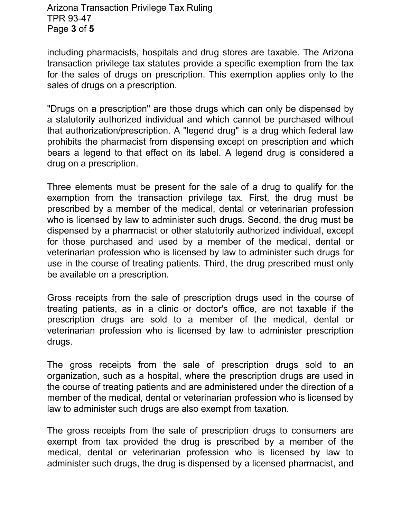#### Arizona Transaction Privilege Tax Ruling TPR 93-47 Page **3** of **5**

including pharmacists, hospitals and drug stores are taxable. The Arizona transaction privilege tax statutes provide a specific exemption from the tax for the sales of drugs on prescription. This exemption applies only to the sales of drugs on a prescription.

"Drugs on a prescription" are those drugs which can only be dispensed by a statutorily authorized individual and which cannot be purchased without that authorization/prescription. A "legend drug" is a drug which federal law prohibits the pharmacist from dispensing except on prescription and which bears a legend to that effect on its label. A legend drug is considered a drug on a prescription.

Three elements must be present for the sale of a drug to qualify for the exemption from the transaction privilege tax. First, the drug must be prescribed by a member of the medical, dental or veterinarian profession who is licensed by law to administer such drugs. Second, the drug must be dispensed by a pharmacist or other statutorily authorized individual, except for those purchased and used by a member of the medical, dental or veterinarian profession who is licensed by law to administer such drugs for use in the course of treating patients. Third, the drug prescribed must only be available on a prescription.

Gross receipts from the sale of prescription drugs used in the course of treating patients, as in a clinic or doctor's office, are not taxable if the prescription drugs are sold to a member of the medical, dental or veterinarian profession who is licensed by law to administer prescription drugs.

The gross receipts from the sale of prescription drugs sold to an organization, such as a hospital, where the prescription drugs are used in the course of treating patients and are administered under the direction of a member of the medical, dental or veterinarian profession who is licensed by law to administer such drugs are also exempt from taxation.

The gross receipts from the sale of prescription drugs to consumers are exempt from tax provided the drug is prescribed by a member of the medical, dental or veterinarian profession who is licensed by law to administer such drugs, the drug is dispensed by a licensed pharmacist, and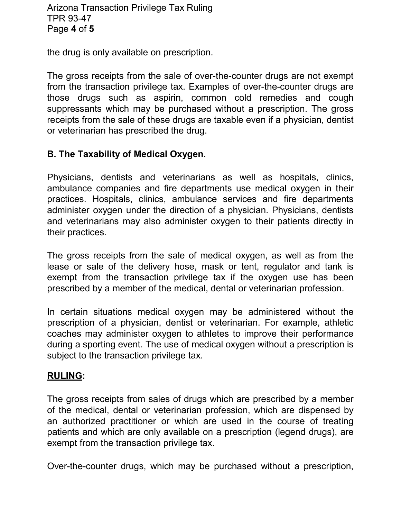the drug is only available on prescription.

The gross receipts from the sale of over-the-counter drugs are not exempt from the transaction privilege tax. Examples of over-the-counter drugs are those drugs such as aspirin, common cold remedies and cough suppressants which may be purchased without a prescription. The gross receipts from the sale of these drugs are taxable even if a physician, dentist or veterinarian has prescribed the drug.

## **B. The Taxability of Medical Oxygen.**

Physicians, dentists and veterinarians as well as hospitals, clinics, ambulance companies and fire departments use medical oxygen in their practices. Hospitals, clinics, ambulance services and fire departments administer oxygen under the direction of a physician. Physicians, dentists and veterinarians may also administer oxygen to their patients directly in their practices.

The gross receipts from the sale of medical oxygen, as well as from the lease or sale of the delivery hose, mask or tent, regulator and tank is exempt from the transaction privilege tax if the oxygen use has been prescribed by a member of the medical, dental or veterinarian profession.

In certain situations medical oxygen may be administered without the prescription of a physician, dentist or veterinarian. For example, athletic coaches may administer oxygen to athletes to improve their performance during a sporting event. The use of medical oxygen without a prescription is subject to the transaction privilege tax.

### **RULING:**

The gross receipts from sales of drugs which are prescribed by a member of the medical, dental or veterinarian profession, which are dispensed by an authorized practitioner or which are used in the course of treating patients and which are only available on a prescription (legend drugs), are exempt from the transaction privilege tax.

Over-the-counter drugs, which may be purchased without a prescription,